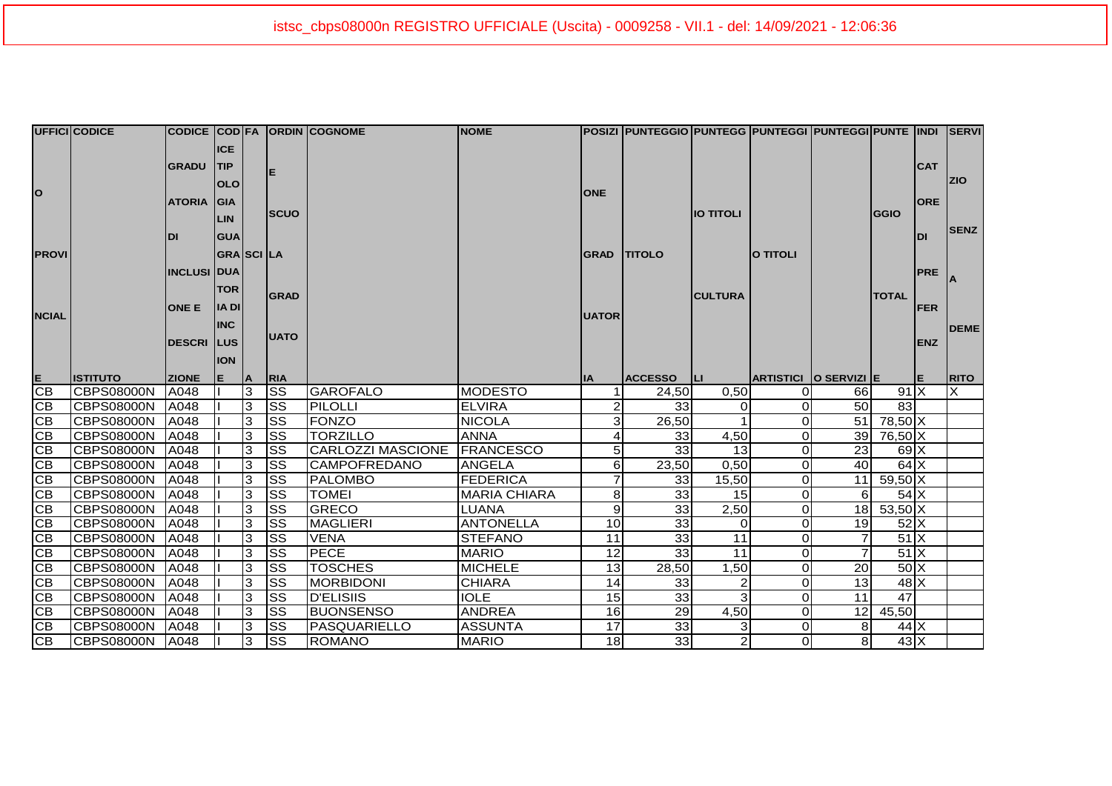|                                         | UFFICI CODICE     |                    |                                        |        |                         | CODICE COD FA ORDIN COGNOME | <b>NOME</b>         |                 | POSIZI  PUNTEGGIO PUNTEGG  PUNTEGGI  PUNTEGGI PUNTE  INDI    SERVI |                  |                       |     |                                       |            |             |
|-----------------------------------------|-------------------|--------------------|----------------------------------------|--------|-------------------------|-----------------------------|---------------------|-----------------|--------------------------------------------------------------------|------------------|-----------------------|-----|---------------------------------------|------------|-------------|
| o                                       |                   | <b>GRADU</b>       | <b>ICE</b><br><b>TIP</b><br><b>OLO</b> |        | ΙE                      |                             |                     | <b>ONE</b>      |                                                                    |                  |                       |     |                                       | <b>CAT</b> | <b>ZIO</b>  |
|                                         |                   | <b>ATORIA</b>      | GIA<br><b>LIN</b>                      |        | <b>SCUO</b>             |                             |                     |                 |                                                                    | <b>IO TITOLI</b> |                       |     | GGIO                                  | <b>ORE</b> |             |
|                                         |                   | <b>DI</b>          | <b>GUA</b>                             |        |                         |                             |                     |                 |                                                                    |                  |                       |     |                                       | <b>DI</b>  | <b>SENZ</b> |
| <b>PROVI</b>                            |                   |                    | <b>GRA</b> SCILA                       |        |                         |                             |                     | <b>GRAD</b>     | <b>TITOLO</b>                                                      |                  | <b>O TITOLI</b>       |     |                                       |            |             |
|                                         |                   | <b>INCLUSI DUA</b> |                                        |        |                         |                             |                     |                 |                                                                    |                  |                       |     |                                       | <b>PRE</b> |             |
|                                         |                   |                    | <b>TOR</b>                             |        |                         |                             |                     |                 |                                                                    |                  |                       |     |                                       |            |             |
|                                         |                   | <b>ONE E</b>       | <b>IADI</b>                            |        | <b>GRAD</b>             |                             |                     |                 | <b>CULTURA</b>                                                     |                  |                       |     | <b>TOTAL</b>                          | <b>FER</b> |             |
| <b>NCIAL</b>                            |                   |                    | <b>INC</b>                             |        |                         |                             |                     | <b>UATOR</b>    |                                                                    |                  |                       |     |                                       |            | <b>DEME</b> |
|                                         |                   | <b>DESCRI</b> LUS  |                                        |        | <b>UATO</b>             |                             |                     |                 |                                                                    |                  |                       |     |                                       | <b>ENZ</b> |             |
|                                         |                   |                    | <b>ION</b>                             |        |                         |                             |                     |                 |                                                                    |                  |                       |     |                                       |            |             |
|                                         | <b>ISTITUTO</b>   | <b>ZIONE</b>       | E                                      | ΙA.    | RIA                     |                             |                     | ΙIΑ             | <b>ACCESSO</b>                                                     | ШI               | ARTISTICI O SERVIZI E |     |                                       | E.         | <b>RITO</b> |
|                                         |                   |                    |                                        |        |                         |                             |                     |                 |                                                                    |                  |                       |     |                                       |            |             |
| $rac{E}{CB}$                            | CBPS08000N        | A048               |                                        | 3      | <b>SS</b>               | <b>GAROFALO</b>             | <b>MODESTO</b>      |                 | 24,50                                                              | 0.50             | $\Omega$              | 66I | 91X                                   |            | X           |
| $\overline{CB}$                         | <b>CBPS08000N</b> | A048               |                                        | 3      | <b>SS</b>               | PILOLLI                     | <b>ELVIRA</b>       |                 | 33 <sub>l</sub>                                                    |                  | $\Omega$              | 50  | 83                                    |            |             |
| $\overline{CB}$                         | <b>CBPS08000N</b> | A048               |                                        | 3      | <b>ISS</b>              | <b>FONZO</b>                | <b>NICOLA</b>       |                 | 26,50                                                              |                  | $\Omega$              | 51  | 78,50 X                               |            |             |
| CB                                      | <b>CBPS08000N</b> | A048               |                                        | 3      | <b>SS</b>               | <b>TORZILLO</b>             | <b>ANNA</b>         |                 | 33                                                                 | 4,50             | 0                     | 39  | 76,50 X                               |            |             |
| CB                                      | <b>CBPS08000N</b> | A048               |                                        | 3      | <b>SS</b>               | <b>CARLOZZI MASCIONE</b>    | <b>FRANCESCO</b>    |                 | 33                                                                 | 13               | $\Omega$              | 23  | $69$ $X$                              |            |             |
| $\overline{CB}$                         | <b>CBPS08000N</b> | A048               |                                        | 3      | <b>SS</b>               | <b>CAMPOFREDANO</b>         | <b>ANGELA</b>       | 6               | 23,50                                                              | 0,50             | $\Omega$              | 40  | $64$ $X$                              |            |             |
| $\overline{CB}$                         | <b>CBPS08000N</b> | A048               |                                        | 3      | <b>ISS</b>              | <b>PALOMBO</b>              | <b>FEDERICA</b>     |                 | 33                                                                 | 15,50            | $\Omega$              |     | $11 \ 59,50 \, X$                     |            |             |
| CB                                      | <b>CBPS08000N</b> | A048               |                                        | 3      | <b>ISS</b>              | <b>TOMEI</b>                | <b>MARIA CHIARA</b> | 8               | 33                                                                 | 15               | $\Omega$              | 61  | $54$ $X$                              |            |             |
| CB                                      | <b>CBPS08000N</b> | A048               |                                        | 3      | <b>SS</b>               | <b>GRECO</b>                | <b>LUANA</b>        | 9               | 33                                                                 | 2,50             | $\Omega$              |     | $18 \ 53,50 \ X$                      |            |             |
| $\overline{CB}$                         | <b>CBPS08000N</b> | A048               |                                        | 3      | <b>ISS</b>              | <b>MAGLIERI</b>             | <b>ANTONELLA</b>    | 10              | 33                                                                 |                  | $\Omega$              | 19  | 52X                                   |            |             |
| $\overline{CB}$                         | <b>CBPS08000N</b> | A048               |                                        | 3      | Iss                     | <b>VENA</b>                 | <b>STEFANO</b>      | 11              | 33                                                                 | 11               | $\Omega$              |     | $51$ $X$                              |            |             |
|                                         | <b>CBPS08000N</b> | A048               |                                        | 3      | <b>ISS</b>              | <b>PECE</b>                 | <b>MARIO</b>        | $\overline{12}$ | 33                                                                 | $\overline{11}$  | $\mathbf{O}$          |     | 51X                                   |            |             |
| CB<br>$\overline{\overline{\text{CB}}}$ | <b>CBPS08000N</b> | A048               |                                        | 3      | <b>SS</b>               | <b>TOSCHES</b>              | <b>MICHELE</b>      | 13              | 28,50                                                              | 1,50             | $\mathbf{O}$          | 20  | $50\text{X}$                          |            |             |
| CB                                      | <b>CBPS08000N</b> | A048               |                                        | 3      | <b>SS</b>               | <b>MORBIDONI</b>            | <b>CHIARA</b>       | 14              | 33                                                                 |                  | $\mathbf{O}$          | 13  | $48$ $X$                              |            |             |
| CB                                      | <b>CBPS08000N</b> | A048               |                                        | 3      | <b>SS</b>               | <b>D'ELISIIS</b>            | <b>IOLE</b>         | 15              | 33                                                                 |                  | $\mathbf{O}$          | 11  | $\overline{47}$                       |            |             |
| CB                                      | <b>CBPS08000N</b> | A048               |                                        | 3      | <b>SS</b>               | <b>BUONSENSO</b>            | <b>ANDREA</b>       | 16              | 29                                                                 | 4,50             | $\mathbf{O}$          |     | 12 45,50                              |            |             |
| $\overline{CB}$<br>CB                   | <b>CBPS08000N</b> | A048               |                                        | 3<br>3 | <b>SS</b><br><b>ISS</b> | PASQUARIELLO                | <b>ASSUNTA</b>      | 17              | 33<br>33                                                           |                  | $\Omega$              | 81  | $44$ $X$<br>$43\overline{\mathrm{X}}$ |            |             |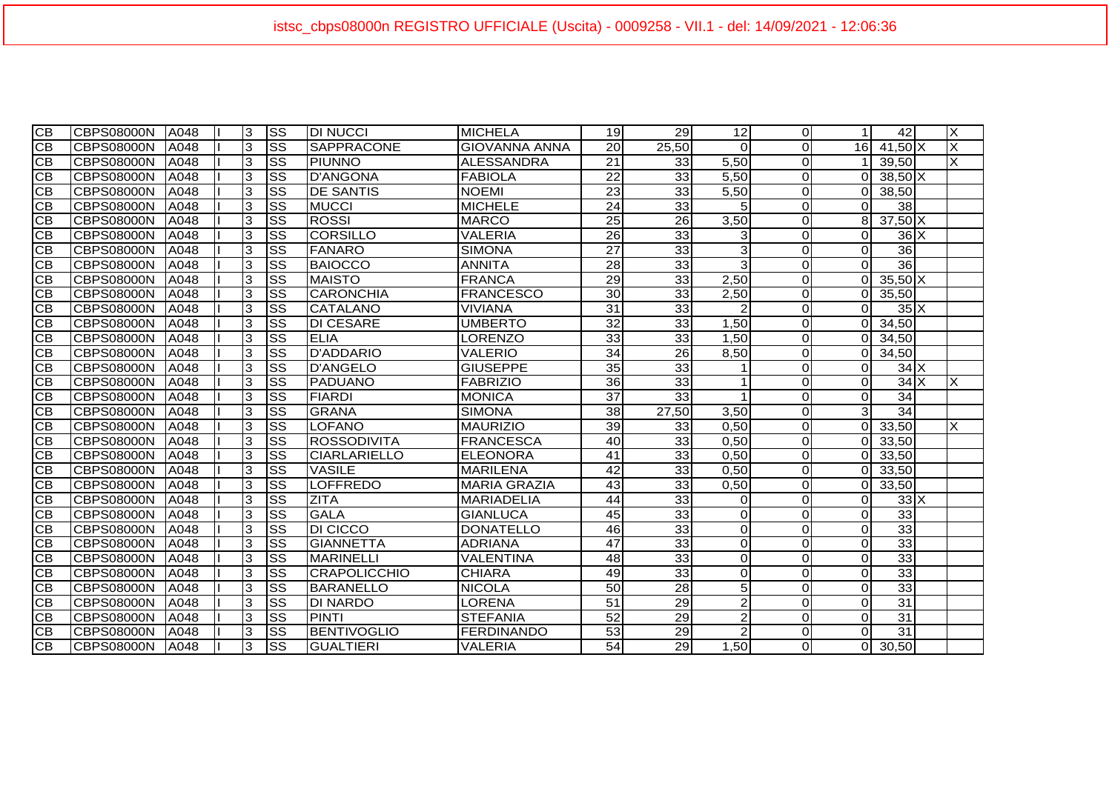| <b>CB</b> | <b>CBPS08000N</b> | A048 | 3 | <b>SS</b>              | <b>DI NUCCI</b>     | <b>MICHELA</b>       | 19              | 29              | 12             | $\Omega$       | 1        | 42              | $\times$ |
|-----------|-------------------|------|---|------------------------|---------------------|----------------------|-----------------|-----------------|----------------|----------------|----------|-----------------|----------|
| CB        | <b>CBPS08000N</b> | A048 | 3 | $\overline{\text{ss}}$ | <b>SAPPRACONE</b>   | <b>GIOVANNA ANNA</b> | 20              | 25,50           | $\Omega$       | $\Omega$       | 16       | 41,50 X         | X        |
| CВ        | <b>CBPS08000N</b> | A048 | 3 | SS                     | <b>PIUNNO</b>       | IALESSANDRA          | $\overline{21}$ | 33              | 5,50           | <sup>O</sup>   |          | 39,50           | X        |
| СB        | <b>CBPS08000N</b> | A048 | 3 | SS                     | <b>D'ANGONA</b>     | <b>FABIOLA</b>       | 22              | 33              | 5,50           | $\Omega$       | റ        | $38,50$ X       |          |
| <b>CB</b> | <b>CBPS08000N</b> | A048 | 3 | <b>SS</b>              | <b>DE SANTIS</b>    | <b>NOEMI</b>         | $\overline{23}$ | $\overline{33}$ | 5,50           | $\overline{O}$ | റ        | 38,50           |          |
| CB        | <b>CBPS08000N</b> | A048 | 3 | <b>SS</b>              | <b>MUCCI</b>        | <b>MICHELE</b>       | 24              | 33              | 5              | $\Omega$       | O        | 38              |          |
| <b>CB</b> | <b>CBPS08000N</b> | A048 | 3 | <b>SS</b>              | <b>ROSSI</b>        | <b>MARCO</b>         | 25              | 26              | 3,50           | $\Omega$       | 8        | $37,50$ X       |          |
| СB        | <b>CBPS08000N</b> | A048 | 3 | SS                     | <b>CORSILLO</b>     | <b>VALERIA</b>       | 26              | 33              | 3              | $\Omega$       | 0        | $36$ $X$        |          |
| <b>CB</b> | <b>CBPS08000N</b> | A048 | 3 | <b>SS</b>              | <b>FANARO</b>       | <b>SIMONA</b>        | $\overline{27}$ | 33              | 3              | $\Omega$       | $\Omega$ | 36              |          |
| CB        | <b>CBPS08000N</b> | A048 | 3 | SS                     | BAIOCCO             | <b>ANNITA</b>        | $\overline{28}$ | 33              | 3              | $\overline{0}$ | $\Omega$ | 36              |          |
| CB        | <b>CBPS08000N</b> | A048 | 3 | lss                    | <b>MAISTO</b>       | <b>FRANCA</b>        | 29              | 33              | 2,50           | $\Omega$       | 0        | $35,50$ X       |          |
| <b>CB</b> | <b>CBPS08000N</b> | A048 | 3 | <b>SS</b>              | <b>CARONCHIA</b>    | <b>FRANCESCO</b>     | 30              | 33              | 2,50           | $\overline{0}$ | ი        | 35,50           |          |
| <b>CB</b> | <b>CBPS08000N</b> | A048 | 3 | <b>SS</b>              | <b>CATALANO</b>     | <b>VIVIANA</b>       | $\overline{31}$ | $\overline{33}$ | 2              | $\Omega$       | റ        | $35\text{X}$    |          |
| CB        | <b>CBPS08000N</b> | A048 | 3 | SS                     | <b>DI CESARE</b>    | UMBERTO              | $\overline{32}$ | 33              | 1,50           | $\Omega$       | ∩        | 34,50           |          |
| CB        | <b>CBPS08000N</b> | A048 | 3 | $\overline{\text{ss}}$ | <b>ELIA</b>         | LORENZO              | 33              | $\overline{33}$ | 1,50           | $\Omega$       |          | 34,50           |          |
| CB        | <b>CBPS08000N</b> | A048 | 3 | $\overline{\text{ss}}$ | <b>D'ADDARIO</b>    | VALERIO              | $\overline{34}$ | 26              | 8,50           | $\Omega$       | റ        | 34,50           |          |
| СB        | <b>CBPS08000N</b> | A048 | 3 | SS                     | <b>D'ANGELO</b>     | <b>GIUSEPPE</b>      | 35              | $\overline{33}$ |                | $\Omega$       | 0        | $34$ $X$        |          |
| CB        | <b>CBPS08000N</b> | A048 | 3 | $\overline{\text{ss}}$ | <b>PADUANO</b>      | <b>FABRIZIO</b>      | 36              | 33              | 1              | $\overline{O}$ | 0        | 34X             | X        |
| CB        | <b>CBPS08000N</b> | A048 | 3 | <b>SS</b>              | <b>FIARDI</b>       | <b>MONICA</b>        | $\overline{37}$ | 33              | 1              | $\Omega$       | $\Omega$ | 34              |          |
| <b>CB</b> | <b>CBPS08000N</b> | A048 | 3 | $ \mathrm{SS} $        | <b>GRANA</b>        | <b>SIMONA</b>        | $\overline{38}$ | 27,50           | 3,50           | $\Omega$       | 3        | 34              |          |
| CB        | <b>CBPS08000N</b> | A048 | 3 | <b>SS</b>              | <b>LOFANO</b>       | <b>MAURIZIO</b>      | $\overline{39}$ | 33              | 0.50           | $\overline{0}$ | 0        | 33,50           | X        |
| <b>CB</b> | <b>CBPS08000N</b> | A048 | 3 | <b>SS</b>              | <b>ROSSODIVITA</b>  | <b>FRANCESCA</b>     | 40              | 33              | 0,50           | $\Omega$       |          | 33,50           |          |
| СB        | <b>CBPS08000N</b> | A048 | 3 | <b>SS</b>              | <b>CIARLARIELLO</b> | <b>ELEONORA</b>      | 41              | 33              | 0,50           | $\Omega$       | ი        | 33,50           |          |
| <b>CB</b> | CBPS08000N        | A048 | 3 | <b>SS</b>              | <b>VASILE</b>       | <b>MARILENA</b>      | $\overline{42}$ | $\overline{33}$ | 0,50           | $\Omega$       | 0        | 33,50           |          |
| <b>CB</b> | <b>CBPS08000N</b> | A048 | 3 | <b>SS</b>              | <b>LOFFREDO</b>     | <b>MARIA GRAZIA</b>  | $\overline{43}$ | $\overline{33}$ | 0,50           | $\Omega$       | ი        | 33,50           |          |
| CB        | <b>CBPS08000N</b> | A048 | 3 | <b>SS</b>              | <b>ZITA</b>         | <b>MARIADELIA</b>    | 44              | 33              | 0              | $\overline{0}$ | 0        | $33\text{K}$    |          |
| CB        | <b>CBPS08000N</b> | A048 | 3 | <b>SS</b>              | <b>GALA</b>         | <b>GIANLUCA</b>      | 45              | $\overline{33}$ | $\Omega$       | $\Omega$       | $\Omega$ | 33              |          |
| <b>CB</b> | <b>CBPS08000N</b> | A048 | 3 | $ \mathrm{SS} $        | <b>DI CICCO</b>     | <b>DONATELLO</b>     | 46              | $\overline{33}$ | $\Omega$       | $\Omega$       | $\Omega$ | 33              |          |
| <b>CB</b> | <b>CBPS08000N</b> | A048 | 3 | <b>SS</b>              | <b>GIANNETTA</b>    | <b>ADRIANA</b>       | 47              | 33              | $\Omega$       | $\Omega$       | 0        | 33              |          |
| CB        | <b>CBPS08000N</b> | A048 | 3 | $\overline{\text{ss}}$ | <b>MARINELLI</b>    | <b>VALENTINA</b>     | $\overline{48}$ | 33              | $\Omega$       | $\Omega$       | $\Omega$ | 33              |          |
| CB        | <b>CBPS08000N</b> | A048 | 3 | SS                     | <b>CRAPOLICCHIO</b> | <b>CHIARA</b>        | 49              | 33              | $\mathbf 0$    | $\Omega$       | 0        | 33              |          |
| СB        | <b>CBPS08000N</b> | A048 | 3 | SS                     | <b>BARANELLO</b>    | <b>NICOLA</b>        | 50              | 28              | 5              | $\Omega$       | 0        | 33              |          |
| CB        | <b>CBPS08000N</b> | A048 | 3 | SS                     | <b>DI NARDO</b>     | <b>LORENA</b>        | 51              | 29              | $\overline{2}$ | $\Omega$       | $\Omega$ | 31              |          |
| CВ        | <b>CBPS08000N</b> | A048 | 3 | SS                     | <b>PINTI</b>        | <b>STEFANIA</b>      | $\overline{52}$ | 29              | $\overline{c}$ | $\Omega$       | $\Omega$ | 31              |          |
| <b>CB</b> | <b>CBPS08000N</b> | A048 | 3 | <b>SS</b>              | BENTIVOGLIO         | <b>FERDINANDO</b>    | $\overline{53}$ | $\overline{29}$ | $\overline{c}$ | $\Omega$       | $\Omega$ | $\overline{31}$ |          |
| <b>CB</b> | <b>CBPS08000N</b> | A048 | 3 | <b>SS</b>              | <b>GUALTIERI</b>    | <b>VALERIA</b>       | 54              | 29              | 1,50           | $\Omega$       | Οl       | 30,50           |          |